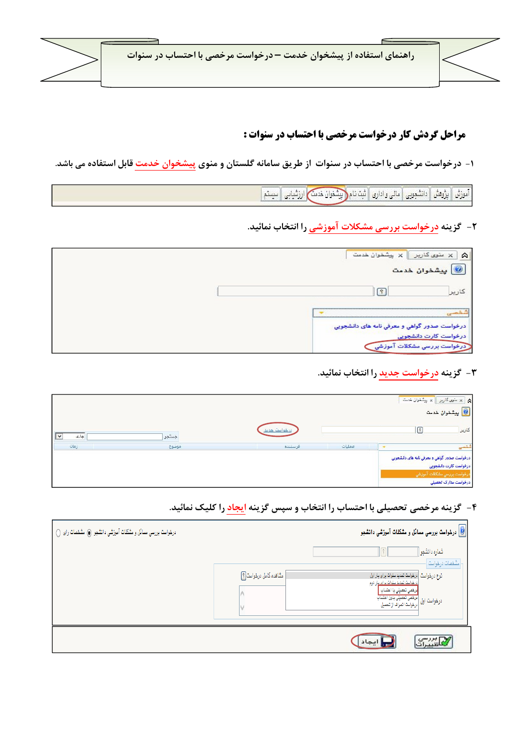

## **مراحل گردش کار درخواست مرخصی با احتساب در سنوات :**

۱- درخواست مرخصی با احتساب در سنوات از طریق سامانه گلستان و منوی پیش<del>خوان خدمت</del> قابل استفاده می باشد.

[أموزش | نبِرُوهش | دانشجویی | مالی و اداری | ثبت نام(<mark>البِشخوان خدمت)</mark> | رزشیابی | سیستم |

**۲**- گزینه درخواست بررسی مشکلات آموزشی را انتخاب نمائید.

| سنوی کاربر $\ \times\ $ شخوان خدمت<br>$\approx$<br><mark>پیشخوان خدمت</mark> |
|------------------------------------------------------------------------------|
|                                                                              |
| درخواست صدور گواهی و معرفی نامه های دانشجویی                                 |
| درخواست کارت دانشجویی<br>درخواست بررسی مشکلات آموزشی                         |

۳- گزینه درخواست جدید را انتخاب نمائید.

|            |       |              |        | م الله عنوى كارير الله بيشغوان خدمت $\mathsf{A}$<br>ے<br><mark>©</mark> پیشخوا <mark>ن</mark> خدمت                           |
|------------|-------|--------------|--------|------------------------------------------------------------------------------------------------------------------------------|
| جارى<br>∣∨ | جستجو | درخواست حديد |        | كارير<br>i s                                                                                                                 |
| زمان       | موضوع | فرستنده      | عمليات | شخمى                                                                                                                         |
|            |       |              |        | درخواست صدور گواهي و معرفي نامه های دانشجويي<br>درخواست كارت دانشجويي<br>درخواست بررسي مشكلات آموزشي<br>درخواست مدارک تحصیلی |

۴ - گزینه مرخصی تحصیلی با احتساب را انتخاب و سپس گزینه <mark>ایجاد</mark> را کلیک نمائید.

| درخواست بررسی مسائل و مشکلات آموزشی دانشجو ⑥ مشخصات رای () |                         | <mark>@</mark> درخواست بررسی مسائل و مشکل <b>ات آموزشی دانش</b> جو                                                                                                                                                                    |
|------------------------------------------------------------|-------------------------|---------------------------------------------------------------------------------------------------------------------------------------------------------------------------------------------------------------------------------------|
|                                                            | مشاهده کامل درخواست [؟] | شماره دانشجو<br>مشفصات درخواست<br>ذوع درخواست  درخواست تمدید سنوات برای بار اول<br><u>دو خواست تعدید سنوات برای برای دوم</u><br>درخواست اول <mark>مرخصی تحصیلی بدون احتساب</mark><br>درخواست اول <mark>درخواست انمراد از تحمیل</mark> |
|                                                            |                         | م أيجاد ،                                                                                                                                                                                                                             |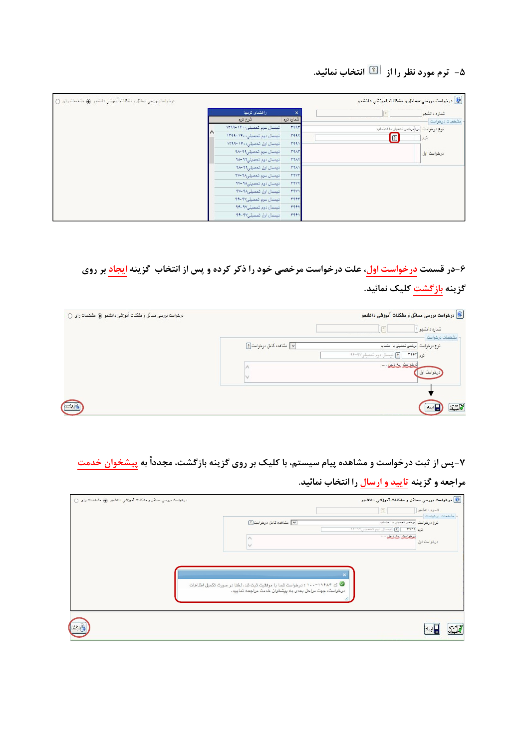## ۵- ترم مورد نظر را از <sup>ا®</sup> انتخاب نمائید.

| درخواست بررسی مسائل و مشکلات آموزشی دانشجو کی مشخصات رای () |                             |             | درخواست بررسی مسائل و مشکلات آموزشی دانشجو $\textcircled{\textbf{0}}$ |
|-------------------------------------------------------------|-----------------------------|-------------|-----------------------------------------------------------------------|
|                                                             | راهنمای ترمها               | $\times$    | شماره دانشجو<br>$\left  \mathcal{R} \right $                          |
|                                                             | شرح ترم                     | شماره ترم   | مشفصات درخواست                                                        |
|                                                             | نیمسال سوم تمصیلی۱۴۰۰–۱۳۹۹  | <b>TAAT</b> | نوع درخواست   مره مرهص تعصیلی با احتساب                               |
|                                                             | انیسال دوم تممیلی، ۱۴۰-۱۳۹۹ | <b>TAAT</b> | $\sqrt{2}$<br>ترم                                                     |
|                                                             | نیمسال اول تحصیلی ۱۴۰۰-۱۳۹۹ | <b>٣٩٩١</b> |                                                                       |
|                                                             | نیسال سوم تمصیلی11-۹۸       | <b>TRAT</b> | درخواست اول                                                           |
|                                                             | نیمسال دوم تمصیلی۹۹-۹۸      | <b>TIAT</b> |                                                                       |
|                                                             | نیسال اول تمصیلی19-۱۸       | <b>TRAY</b> |                                                                       |
|                                                             | نیمسال سوم تممیلی۱۸-۹۲      | <b>TRYT</b> |                                                                       |
|                                                             | نیسال دوم تمصیلی۱۸-۹۷       | <b>TAVT</b> |                                                                       |
|                                                             | نیمسال اول تحصیلی۱۸-۹۲      | <b>TAVI</b> |                                                                       |
|                                                             | انیسال سوم تمسیلی۱۷-۱۶      | <b>TAPT</b> |                                                                       |
|                                                             | نیمسال دوم تمصیلی۹۷-۹۶      | <b>٣٩۶٢</b> |                                                                       |
|                                                             | نیمسال اول تحصیلی۱۹۶-۹۶     | 7991        |                                                                       |

۶-در قسمت <mark>درخواست اول</mark>، علت درخواست مرخصی خود را ذکر کرده و پس از انتخاب گزینه <mark>ایجاد</mark> بر روی

## گزینه <mark>بازگشت کلیک نمائید</mark>.

| $\bigcirc$ درخواست بررسی مسائل و مشکلات آموزشی دانشجو کی مشخصات رای |                           | درخواست بررسی مسائل و مشکلات آموزشی دانشجو $\textcircled{\textbf{0}}$<br>شماره دانشجو ا |
|---------------------------------------------------------------------|---------------------------|-----------------------------------------------------------------------------------------|
|                                                                     |                           | ا مشخصات درخواست                                                                        |
|                                                                     | V مشاهده كامل درخواست [؟] | نوع درخواست   مرخص تنصیلی با اهتساب                                                     |
|                                                                     |                           | ترم ۲۹۶۲ - [؟] تيمسال دوم تمميلي۱۹۶۰-۹۶                                                 |
|                                                                     |                           | <u> ديمواستر ايه دليل  ا</u><br>درخواست اول                                             |
|                                                                     |                           |                                                                                         |
|                                                                     |                           |                                                                                         |
| أأبا ركشتا                                                          |                           | $\mathbb{Z}^m$ تغییرات                                                                  |

۷-پس از ثبت درخواست و مشاهده پیام سیستم، با کلیک بر روی گزینه بازگشت، مجدداً به پیش<del>خ</del>وان خدمت

## مراجعه و گزینه تایید و ارسال را انتخاب نمائید.

| درخواست بررسی مسائل و مشکلات آموزشی دانشجو (۵) مشخصات رای () | .<br>ایا درخواست بررسی مسائل و مشکلات آموزشی دانشجو                                                                                 |
|--------------------------------------------------------------|-------------------------------------------------------------------------------------------------------------------------------------|
|                                                              | شماره دانشجو  <br>$ i\rangle$<br>مشفعات درخواست                                                                                     |
|                                                              | V مشاهده كامل درخواست [؟]<br>نوع درخواست. مرخص تعصیلی با احتساب                                                                     |
|                                                              | ترم ٣٩۶٢   8 أنيمسال دوم تحصيلي ٢٠-٢٢                                                                                               |
|                                                              | فيغيلس سرفيلين<br>درخواست اول                                                                                                       |
|                                                              |                                                                                                                                     |
|                                                              |                                                                                                                                     |
|                                                              |                                                                                                                                     |
|                                                              | ه کد ۱۱۴۸۴-۱۰۰ : درخواست شما با موفقیت ثبت شد. لطفا در صورت تکمیل اطلاعات<br>درخواست، جهت مراحل بعدی به پیشخوان خدمت مراجعه نمایید. |
|                                                              |                                                                                                                                     |
|                                                              |                                                                                                                                     |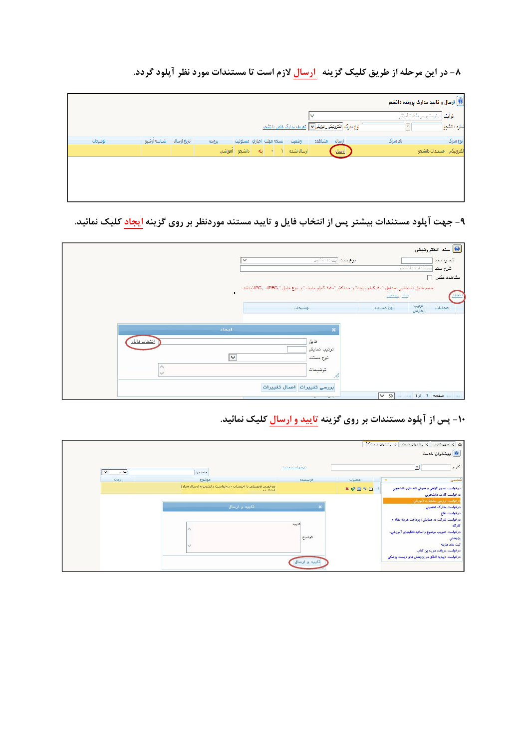۸- در این مرحله از طریق کلیک گزینه ارسال لازم است تا مستندات مورد نظر آپلود گردد.

|         |                         |        |                           |       |                                                                                 |          | <mark>.</mark> ارسال و تایید مدارک پرونده دانشجو |
|---------|-------------------------|--------|---------------------------|-------|---------------------------------------------------------------------------------|----------|--------------------------------------------------|
|         |                         |        |                           |       | v                                                                               |          | فرآیند - درخواست بررسی مشکلات آموزشی             |
|         |                         |        |                           |       | لوع مدرک <mark>الکترونیکی_فیزیکی</mark> v <mark>_ تبریف مدارک خاص دانشمو</mark> |          | ثماره دانشجو                                     |
| توضيحات | تاریخ ارسال شناسه آرشیو | پرونده | تسخه مهلت اجباري امسئوليت | وضعيت | ارسال مشاهده                                                                    | نام مدرک | نوع مدرک                                         |
|         |                         |        |                           |       | إرسال                                                                           |          | الكترونيكي أمستندات دانشجوا                      |
|         |                         |        |                           |       |                                                                                 |          |                                                  |
|         |                         |        |                           |       |                                                                                 |          |                                                  |
|         |                         |        |                           |       |                                                                                 |          |                                                  |
|         |                         |        |                           |       |                                                                                 |          |                                                  |

۹- جهت آپلود مستندات بیشتر پس از انتخاب فایل و تایید مستند موردنظر بر روی گزینه ایجاد کلیک نمائید.

|                                   | توع سند البينده دانشمر<br>$\checkmark$                                                                           | <mark>.</mark> سند الكترونيكي<br>شماره سند<br>امستندات دانشجو |
|-----------------------------------|------------------------------------------------------------------------------------------------------------------|---------------------------------------------------------------|
|                                   | ممِع قابل انتقابی مداقل "٥٠ کیلو بایت" و مداکثر "٢٥٠ کیلو بایت " و نوع قابل "JPG, .JPEG."باشد.<br>$\blacksquare$ | شرح سند<br>مشاهده عكس [<br>انماذ<br><u>بالل پايين</u>         |
|                                   | توضيحات                                                                                                          | ترتيب<br>نمايش<br>عمليات<br>توع مستند                         |
| انجاد                             | $\boldsymbol{\times}$                                                                                            |                                                               |
| انتخاب فابل<br>$\curvearrowright$ | فايل<br>ترتيب نمايش<br>$\overline{\mathsf{v}}$<br>نوع مستند<br>توضيمات                                           |                                                               |
|                                   | M<br>بررسي تغييرات أممال تغييرات<br>$\sim$ $-$<br>$\sim$                                                         | صفحه 1 از 1 مفعه / 50                                         |

۱۰- پس از آپلود مستندات بر روی گزینه <mark>تایید و ارسال</mark> کلیک نمائید.

| A /X منوى كارير    X بِيشْخوان خدمت<br>يشخوان خدمت $\bigcirc$         | × يشفوان خدمت[۲] |               |                                                                    |                                  |
|-----------------------------------------------------------------------|------------------|---------------|--------------------------------------------------------------------|----------------------------------|
| $\boxed{?}$<br>كارير                                                  |                  | درخواست حدید  | جستجر                                                              | جارى<br>$\overline{\phantom{0}}$ |
| شخصی                                                                  | عمليات           | فرستنده       | موضوع                                                              | زمان                             |
| درخواست صدور گواهي و معرفي نامه های دانشجويي<br>درخواست كارت دانشجويي | <b>* WERE</b>    |               | مرخصی تحصیلی با احتساب - درخواست دانشجو و ارسال مدارا<br>$-6.81.1$ |                                  |
| درخواست بررسی مشکلات آموزشی<br>درخواست مدارک تحصیلی<br>درخواست دفاع   |                  |               | تاييد و ارسال                                                      |                                  |
| درخواست شرکت در همایش/ پرداخت هزینه مقاله و<br>كارگاه                 |                  | تابيد         |                                                                    |                                  |
| درخواست تصویب موضوع و اساتید فعالیتهای آموزشی-<br>يزوهشي              |                  | توضيح         |                                                                    |                                  |
| ثبت سند هزينه<br>درخواست دریافت هزینه بن کتاب                         |                  |               |                                                                    |                                  |
| درخواست تاییدیه اخلاق در پژوهش های زیست پزشکی                         |                  | تاييد و ارسال |                                                                    |                                  |